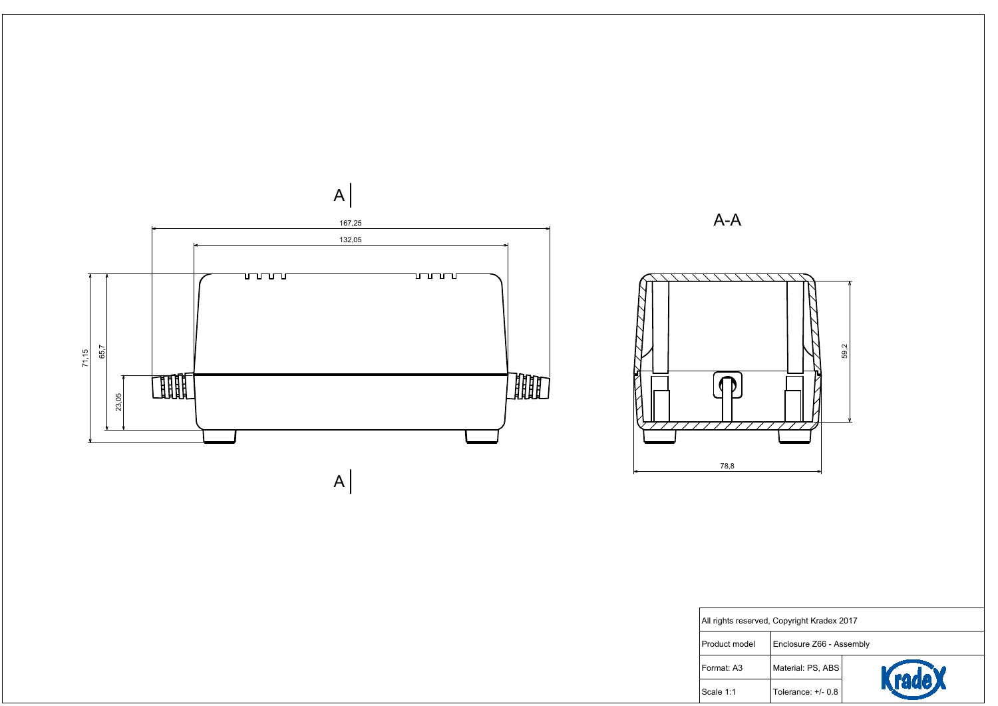

| rved, Copyright Kradex 2017 |                          |                |  |  |
|-----------------------------|--------------------------|----------------|--|--|
|                             | Enclosure Z66 - Assembly |                |  |  |
|                             | Material: PS, ABS        |                |  |  |
|                             | Tolerance: +/- 0.8       | <b>Krade X</b> |  |  |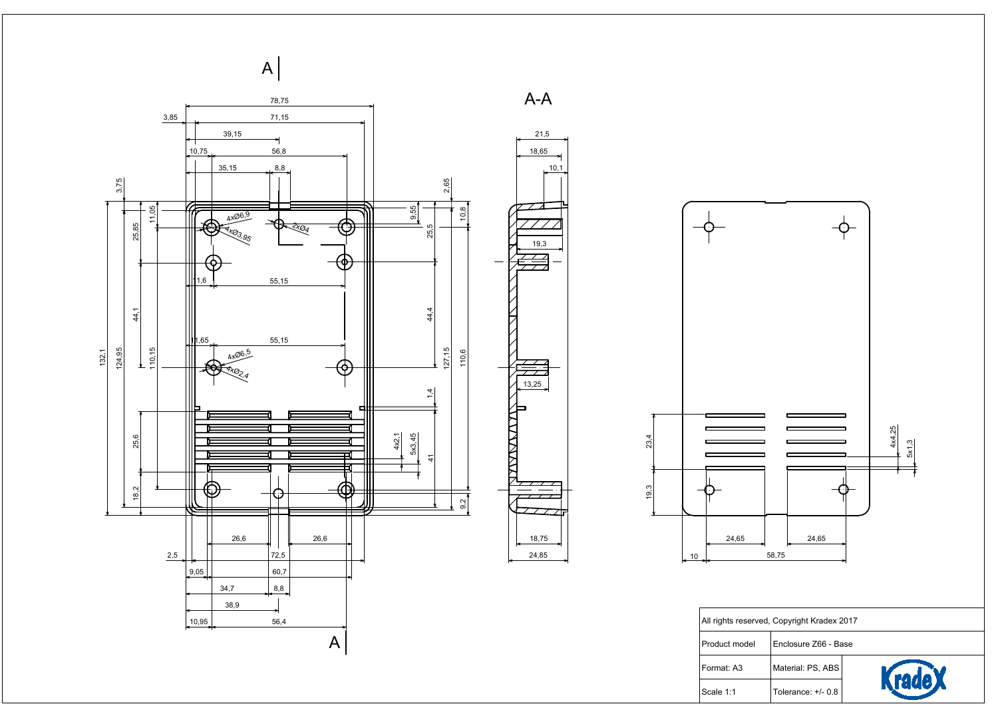

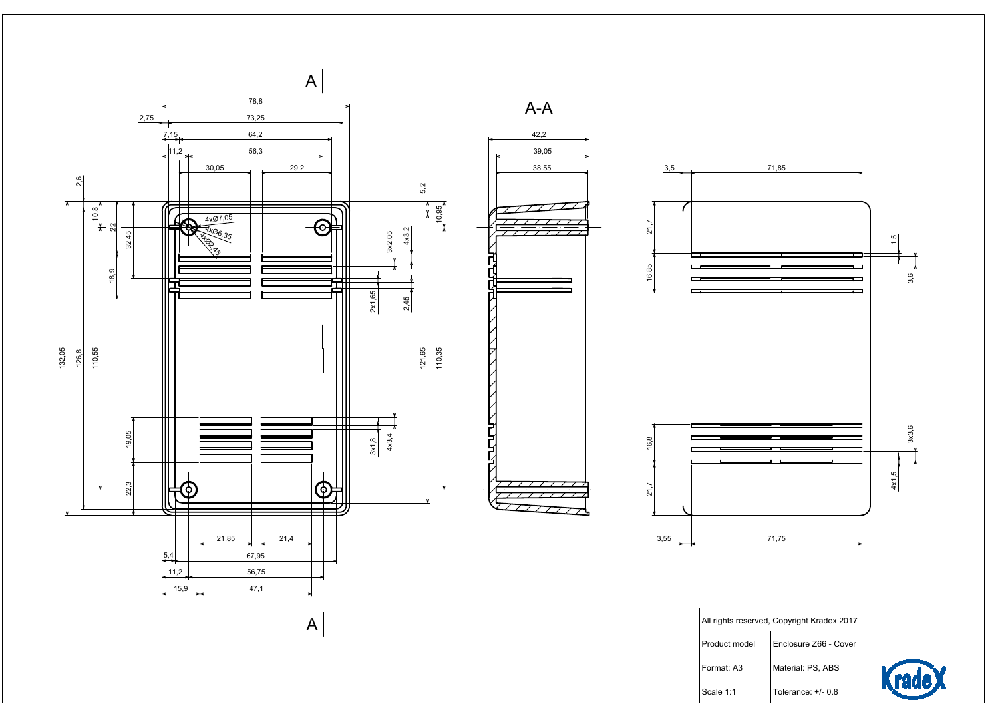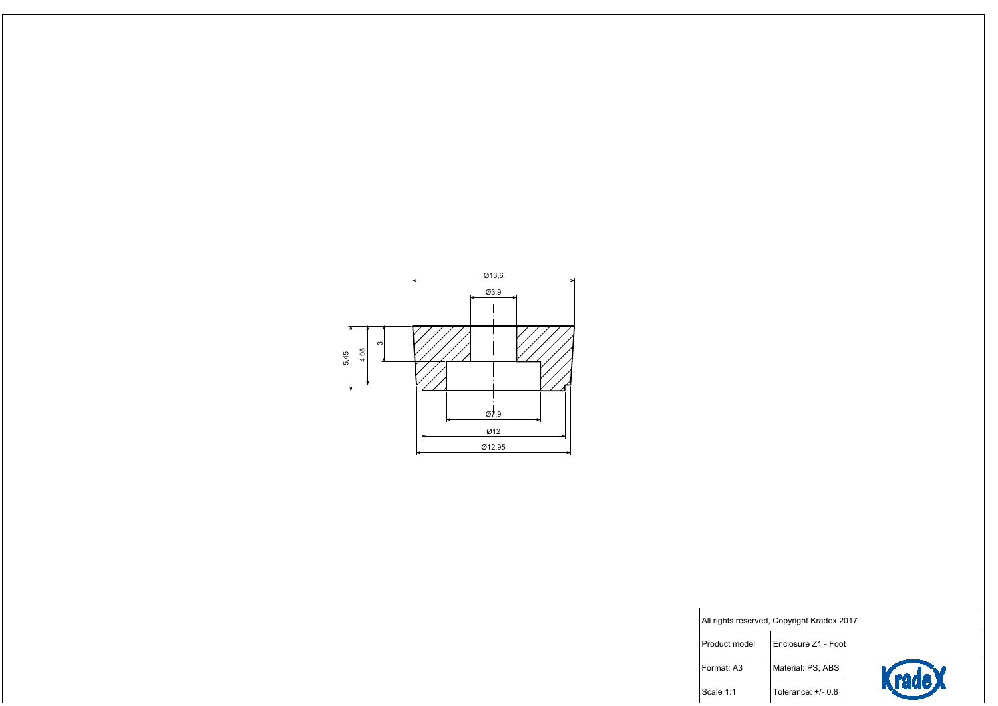

| rved, Copyright Kradex 2017 |                     |        |  |  |
|-----------------------------|---------------------|--------|--|--|
|                             | Enclosure Z1 - Foot |        |  |  |
|                             | Material: PS, ABS   | KradeX |  |  |
|                             | Tolerance: $+/-0.8$ |        |  |  |